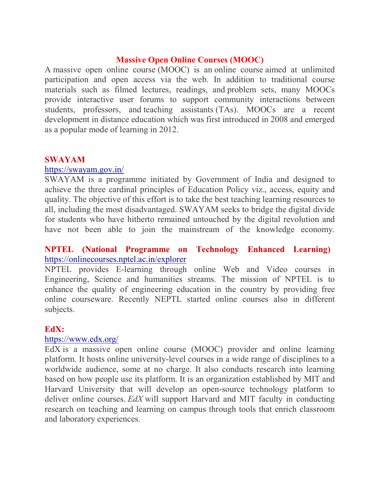# Massive Open Online Courses (MOOC)

A massive open online course (MOOC) is an online course aimed at unlimited participation and open access via the web. In addition to traditional course materials such as filmed lectures, readings, and problem sets, many MOOCs provide interactive user forums to support community interactions between students, professors, and teaching assistants (TAs). MOOCs are a recent development in distance education which was first introduced in 2008 and emerged as a popular mode of learning in 2012.

# SWAYAM

#### https://swayam.gov.in/

SWAYAM is a programme initiated by Government of India and designed to achieve the three cardinal principles of Education Policy viz., access, equity and quality. The objective of this effort is to take the best teaching learning resources to all, including the most disadvantaged. SWAYAM seeks to bridge the digital divide for students who have hitherto remained untouched by the digital revolution and have not been able to join the mainstream of the knowledge economy.

# NPTEL (National Programme on Technology Enhanced Learning) https://onlinecourses.nptel.ac.in/explorer

NPTEL provides E-learning through online Web and Video courses in Engineering, Science and humanities streams. The mission of NPTEL is to enhance the quality of engineering education in the country by providing free online courseware. Recently NEPTL started online courses also in different subjects.

#### EdX:

#### https://www.edx.org/

EdX is a massive open online course (MOOC) provider and online learning platform. It hosts online university-level courses in a wide range of disciplines to a worldwide audience, some at no charge. It also conducts research into learning based on how people use its platform. It is an organization established by MIT and Harvard University that will develop an open-source technology platform to deliver online courses. EdX will support Harvard and MIT faculty in conducting research on teaching and learning on campus through tools that enrich classroom and laboratory experiences.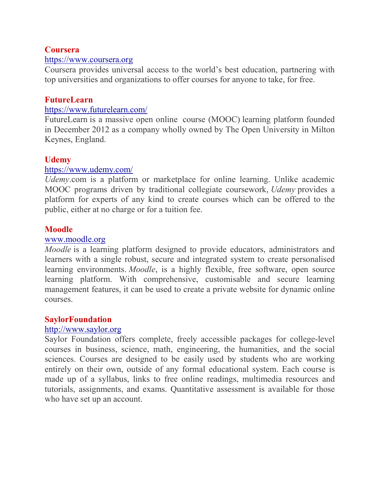# Coursera

#### https://www.coursera.org

Coursera provides universal access to the world's best education, partnering with top universities and organizations to offer courses for anyone to take, for free.

### FutureLearn

#### https://www.futurelearn.com/

FutureLearn is a massive open online course (MOOC) learning platform founded in December 2012 as a company wholly owned by The Open University in Milton Keynes, England.

# Udemy

#### https://www.udemy.com/

Udemy.com is a platform or marketplace for online learning. Unlike academic MOOC programs driven by traditional collegiate coursework, Udemy provides a platform for experts of any kind to create courses which can be offered to the public, either at no charge or for a tuition fee.

# Moodle

#### www.moodle.org

Moodle is a learning platform designed to provide educators, administrators and learners with a single robust, secure and integrated system to create personalised learning environments. *Moodle*, is a highly flexible, free software, open source learning platform. With comprehensive, customisable and secure learning management features, it can be used to create a private website for dynamic online courses.

#### SaylorFoundation

#### http://www.saylor.org

Saylor Foundation offers complete, freely accessible packages for college-level courses in business, science, math, engineering, the humanities, and the social sciences. Courses are designed to be easily used by students who are working entirely on their own, outside of any formal educational system. Each course is made up of a syllabus, links to free online readings, multimedia resources and tutorials, assignments, and exams. Quantitative assessment is available for those who have set up an account.